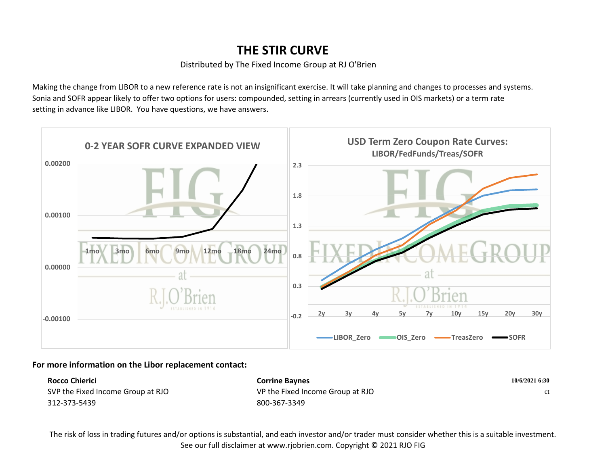## **THE STIR CURVE**

## Distributed by The Fixed Income Group at RJ O'Brien

Making the change from LIBOR to a new reference rate is not an insignificant exercise. It will take planning and changes to processes and systems. Sonia and SOFR appear likely to offer two options for users: compounded, setting in arrears (currently used in OIS markets) or a term rate setting in advance like LIBOR. You have questions, we have answers.



## **For more information on the Libor replacement contact:**

| Rocco Chierici<br><b>Corrine Baynes</b> |                                  | 10/6/2021 6:30 |  |
|-----------------------------------------|----------------------------------|----------------|--|
| SVP the Fixed Income Group at RJO       | VP the Fixed Income Group at RJO | ct.            |  |
| 312-373-5439                            | 800-367-3349                     |                |  |

The risk of loss in trading futures and/or options is substantial, and each investor and/or trader must consider whether this is a suitable investment. See our full disclaimer at www.rjobrien.com. Copyright © 2021 RJO FIG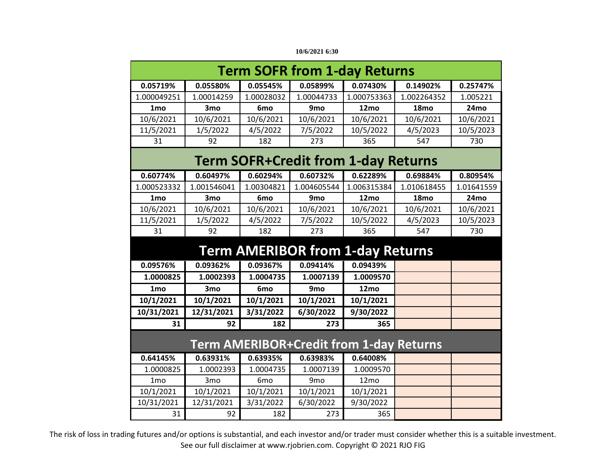| 10/6/2021 6:30 |  |
|----------------|--|
|----------------|--|

| <b>Term SOFR from 1-day Returns</b>            |                 |                 |                                            |             |                  |            |  |
|------------------------------------------------|-----------------|-----------------|--------------------------------------------|-------------|------------------|------------|--|
| 0.05719%                                       | 0.05580%        | 0.05545%        | 0.05899%                                   | 0.07430%    | 0.14902%         | 0.25747%   |  |
| 1.000049251                                    | 1.00014259      | 1.00028032      | 1.00044733                                 | 1.000753363 | 1.002264352      | 1.005221   |  |
| 1 <sub>mo</sub>                                | 3 <sub>mo</sub> | 6 <sub>mo</sub> | 9 <sub>mo</sub>                            | 12mo        | 18 <sub>mo</sub> | 24mo       |  |
| 10/6/2021                                      | 10/6/2021       | 10/6/2021       | 10/6/2021                                  | 10/6/2021   | 10/6/2021        | 10/6/2021  |  |
| 11/5/2021                                      | 1/5/2022        | 4/5/2022        | 7/5/2022                                   | 10/5/2022   | 4/5/2023         | 10/5/2023  |  |
| 31                                             | 92              | 182             | 273                                        | 365         | 547              | 730        |  |
|                                                |                 |                 |                                            |             |                  |            |  |
|                                                |                 |                 | <b>Term SOFR+Credit from 1-day Returns</b> |             |                  |            |  |
| 0.60774%                                       | 0.60497%        | 0.60294%        | 0.60732%                                   | 0.62289%    | 0.69884%         | 0.80954%   |  |
| 1.000523332                                    | 1.001546041     | 1.00304821      | 1.004605544                                | 1.006315384 | 1.010618455      | 1.01641559 |  |
| 1 <sub>mo</sub>                                | 3 <sub>mo</sub> | 6 <sub>mo</sub> | 9 <sub>mo</sub>                            | 12mo        | 18 <sub>mo</sub> | 24mo       |  |
| 10/6/2021                                      | 10/6/2021       | 10/6/2021       | 10/6/2021                                  | 10/6/2021   | 10/6/2021        | 10/6/2021  |  |
| 11/5/2021                                      | 1/5/2022        | 4/5/2022        | 7/5/2022                                   | 10/5/2022   | 4/5/2023         | 10/5/2023  |  |
| 31                                             | 92              | 182             | 273                                        | 365         | 547              | 730        |  |
| <b>Term AMERIBOR from 1-day Returns</b>        |                 |                 |                                            |             |                  |            |  |
| 0.09576%                                       | 0.09362%        | 0.09367%        | 0.09414%                                   | 0.09439%    |                  |            |  |
| 1.0000825                                      | 1.0002393       | 1.0004735       | 1.0007139                                  | 1.0009570   |                  |            |  |
| 1 <sub>mo</sub>                                | 3 <sub>mo</sub> | 6 <sub>mo</sub> | 9 <sub>mo</sub>                            | 12mo        |                  |            |  |
| 10/1/2021                                      | 10/1/2021       | 10/1/2021       | 10/1/2021                                  | 10/1/2021   |                  |            |  |
| 10/31/2021                                     | 12/31/2021      | 3/31/2022       | 6/30/2022                                  | 9/30/2022   |                  |            |  |
| 31                                             | 92              | 182             | 273                                        | 365         |                  |            |  |
| <b>Term AMERIBOR+Credit from 1-day Returns</b> |                 |                 |                                            |             |                  |            |  |
| 0.64145%                                       | 0.63931%        | 0.63935%        | 0.63983%                                   | 0.64008%    |                  |            |  |
| 1.0000825                                      | 1.0002393       | 1.0004735       | 1.0007139                                  | 1.0009570   |                  |            |  |
| 1 <sub>mo</sub>                                | 3 <sub>mo</sub> | 6 <sub>mo</sub> | 9 <sub>mo</sub>                            | 12mo        |                  |            |  |
| 10/1/2021                                      | 10/1/2021       | 10/1/2021       | 10/1/2021                                  | 10/1/2021   |                  |            |  |
| 10/31/2021                                     | 12/31/2021      | 3/31/2022       | 6/30/2022                                  | 9/30/2022   |                  |            |  |
| 31                                             | 92              | 182             | 273                                        | 365         |                  |            |  |

The risk of loss in trading futures and/or options is substantial, and each investor and/or trader must consider whether this is a suitable investment. See our full disclaimer at www.rjobrien.com. Copyright © 2021 RJO FIG